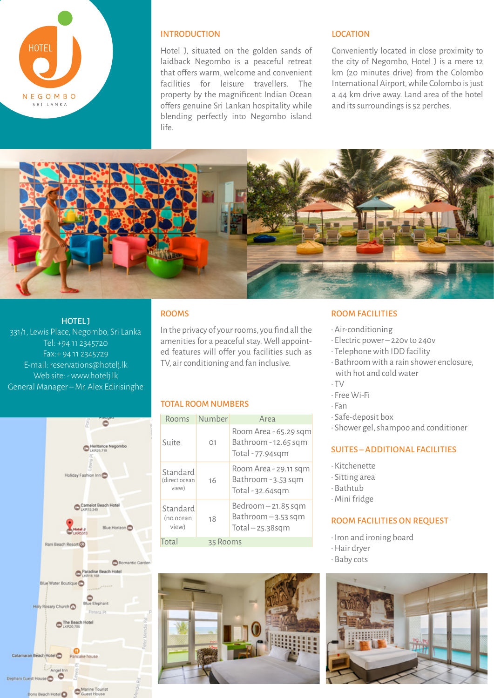

## INTRODUCTION

Hotel J, situated on the golden sands of laidback Negombo is a peaceful retreat that offers warm, welcome and convenient facilities for leisure travellers. The property by the magnificent Indian Ocean offers genuine Sri Lankan hospitality while blending perfectly into Negombo island life.

#### LOCATION

Conveniently located in close proximity to the city of Negombo, Hotel J is a mere 12 km (20 minutes drive) from the Colombo International Airport, while Colombo is just a 44 km drive away. Land area of the hotel and its surroundings is 52 perches.



#### HOTEL J

331/1, Lewis Place, Negombo, Sri Lanka Tel: +94 11 2345720 Fax:+ 94 11 2345729 E-mail: reservations@hotelj.lk Web site: - www.hotelj.lk General Manager – Mr. Alex Edirisinghe



### ROOMS

In the privacy of your rooms, you find all the amenities for a peaceful stay. Well appointed features will offer you facilities such as TV, air conditioning and fan inclusive.

#### TOTAL ROOM NUMBERS

| Rooms                              | Number   | Area                                                              |
|------------------------------------|----------|-------------------------------------------------------------------|
| Suite                              | 01       | Room Area - 65.29 sqm<br>Bathroom - 12.65 sqm<br>Total - 77.94sqm |
| Standard<br>(direct ocean<br>view) | 16       | Room Area - 29.11 sqm<br>Bathroom - 3.53 sqm<br>Total - 32.64sqm  |
| Standard<br>(no ocean<br>view)     | 18       | $Bedroom - 21.85 sqm$<br>Bathroom-3.53 sqm<br>$Total - 25.38$ sqm |
| Total                              | 35 Rooms |                                                                   |



#### Room Facilities

- Air-conditioning
- Electric power 220v to 240v
- Telephone with IDD facility
- Bathroom with a rain shower enclosure, with hot and cold water
- TV
- Free Wi-Fi
- Fan
- Safe-deposit box
- Shower gel, shampoo and conditioner

## Suites – Additional Facilities

- Kitchenette
- Sitting area
- Bathtub
- Mini fridge

## Room Facilities On Request

- Iron and ironing board
- Hair dryer
- Baby cots